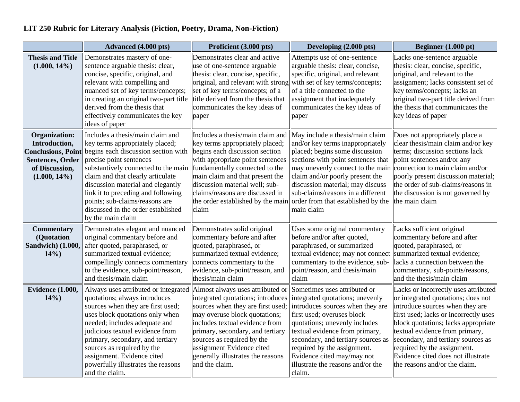## **LIT 250 Rubric for Literary Analysis (Fiction, Poetry, Drama, Non-Fiction)**

|                                                                                                                                    | Advanced (4.000 pts)                                                                                                                                                                                                                                                                                                                                                                      | Proficient (3.000 pts)                                                                                                                                                                                                                                                                                                              | Developing (2.000 pts)                                                                                                                                                                                                                                                                                                                                                          | Beginner $(1.000 \text{ pt})$                                                                                                                                                                                                                                                                                                                                               |
|------------------------------------------------------------------------------------------------------------------------------------|-------------------------------------------------------------------------------------------------------------------------------------------------------------------------------------------------------------------------------------------------------------------------------------------------------------------------------------------------------------------------------------------|-------------------------------------------------------------------------------------------------------------------------------------------------------------------------------------------------------------------------------------------------------------------------------------------------------------------------------------|---------------------------------------------------------------------------------------------------------------------------------------------------------------------------------------------------------------------------------------------------------------------------------------------------------------------------------------------------------------------------------|-----------------------------------------------------------------------------------------------------------------------------------------------------------------------------------------------------------------------------------------------------------------------------------------------------------------------------------------------------------------------------|
| <b>Thesis and Title</b><br>$(1.000, 14\%)$                                                                                         | Demonstrates mastery of one-<br>sentence arguable thesis: clear,<br>concise, specific, original, and<br>relevant with compelling and<br>nuanced set of key terms/concepts;<br>in creating an original two-part title<br>derived from the thesis that<br>effectively communicates the key<br>ideas of paper                                                                                | Demonstrates clear and active<br>use of one-sentence arguable<br>thesis: clear, concise, specific,<br>original, and relevant with strong<br>set of key terms/concepts; of a<br>title derived from the thesis that<br>communicates the key ideas of<br>paper                                                                         | Attempts use of one-sentence<br>arguable thesis: clear, concise,<br>specific, original, and relevant<br>with set of key terms/concepts;<br>of a title connected to the<br>assignment that inadequately<br>communicates the key ideas of<br>paper                                                                                                                                | Lacks one-sentence arguable<br>thesis: clear, concise, specific,<br>original, and relevant to the<br>assignment; lacks consistent set of<br>key terms/concepts; lacks an<br>original two-part title derived from<br>the thesis that communicates the<br>key ideas of paper                                                                                                  |
| <b>Organization:</b><br>Introduction,<br><b>Conclusions, Point</b><br><b>Sentences, Order</b><br>of Discussion,<br>$(1.000, 14\%)$ | Includes a thesis/main claim and<br>key terms appropriately placed;<br>begins each discussion section with<br>precise point sentences<br>substantively connected to the main<br>claim and that clearly articulate<br>discussion material and elegantly<br>link it to preceding and following<br>points; sub-claims/reasons are<br>discussed in the order established<br>by the main claim | Includes a thesis/main claim and<br>key terms appropriately placed;<br>begins each discussion section<br>with appropriate point sentences<br>fundamentally connected to the<br>main claim and that present the<br>discussion material well; sub-<br>claims/reasons are discussed in<br>the order established by the main<br>claim   | May include a thesis/main claim<br>and/or key terms inappropriately<br>placed; begins some discussion<br>sections with point sentences that<br>may unevenly connect to the main connection to main claim and/or<br>claim and/or poorly present the<br>discussion material; may discuss<br>sub-claims/reasons in a different<br>order from that established by the<br>main claim | Does not appropriately place a<br>clear thesis/main claim and/or key<br>terms; discussion sections lack<br>point sentences and/or any<br>poorly present discussion material;<br>the order of sub-claims/reasons in<br>the discussion is not governed by<br>the main claim                                                                                                   |
| <b>Commentary</b><br>(Quotation<br><b>Sandwich</b> ) (1.000,<br>14%                                                                | Demonstrates elegant and nuanced<br>original commentary before and<br>after quoted, paraphrased, or<br>summarized textual evidence;<br>compellingly connects commentary<br>to the evidence, sub-point/reason,<br>and thesis/main claim                                                                                                                                                    | Demonstrates solid original<br>commentary before and after<br>quoted, paraphrased, or<br>summarized textual evidence;<br>connects commentary to the<br>evidence, sub-point/reason, and<br>thesis/main claim                                                                                                                         | Uses some original commentary<br>before and/or after quoted,<br>paraphrased, or summarized<br>textual evidence; may not connect<br>commentary to the evidence, sub-<br>point/reason, and thesis/main<br>claim                                                                                                                                                                   | Lacks sufficient original<br>commentary before and after<br>quoted, paraphrased, or<br>summarized textual evidence;<br>lacks a connection between the<br>commentary, sub-points/reasons,<br>and the thesis/main claim                                                                                                                                                       |
| <b>Evidence (1.000,</b><br>14%                                                                                                     | Always uses attributed or integrated<br>quotations; always introduces<br>sources when they are first used;<br>uses block quotations only when<br>needed; includes adequate and<br>judicious textual evidence from<br>primary, secondary, and tertiary<br>sources as required by the<br>assignment. Evidence cited<br>powerfully illustrates the reasons<br>and the claim.                 | Almost always uses attributed or<br>integrated quotations; introduces<br>sources when they are first used;<br>may overuse block quotations;<br>includes textual evidence from<br>primary, secondary, and tertiary<br>sources as required by the<br>assignment Evidence cited<br>generally illustrates the reasons<br>and the claim. | Sometimes uses attributed or<br>integrated quotations; unevenly<br>introduces sources when they are<br>first used; overuses block<br>quotations; unevenly includes<br>textual evidence from primary,<br>secondary, and tertiary sources as<br>required by the assignment.<br>Evidence cited may/may not<br>illustrate the reasons and/or the<br>claim.                          | Lacks or incorrectly uses attributed<br>or integrated quotations; does not<br>introduce sources when they are<br>first used; lacks or incorrectly uses<br>block quotations; lacks appropriate<br>textual evidence from primary,<br>secondary, and tertiary sources as<br>required by the assignment.<br>Evidence cited does not illustrate<br>the reasons and/or the claim. |